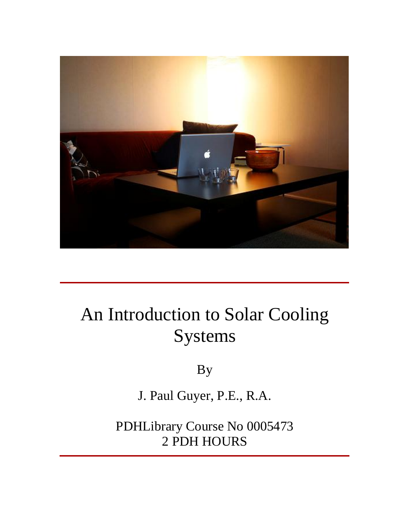

# An Introduction to Solar Cooling Systems

By

J. Paul Guyer, P.E., R.A.

PDHLibrary Course No 0005473 2 PDH HOURS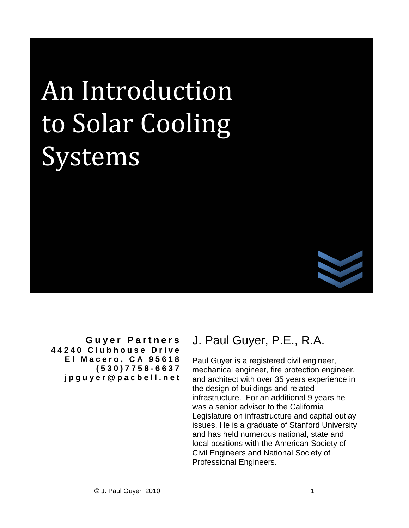# **Introduction** An Introduction<br>to Solar Cooling Systems



**G u ye r P a r t n e r s 4 4 2 4 0 C lu b h o u s e D r i v e E l M a c e r o ,C A 9 5 6 1 8 ( 5 3 0 ) 7 7 5 8 - 6 6 3 7 j p g u y e r [@p](mailto:jpguyer@pacbell.net) a c b e l l .n e t**

## J. Paul Guyer, P.E., R.A.

Paul Guyer is a registered civil engineer, mechanical engineer, fire protection engineer, and architect with over 35 years experience in the design of buildings and related infrastructure. For an additional 9 years he was a senior advisor to the California Legislature on infrastructure and capital outlay issues. He is a graduate of Stanford University and has held numerous national, state and local positions with the American Society of Civil Engineers and National Society of Professional Engineers.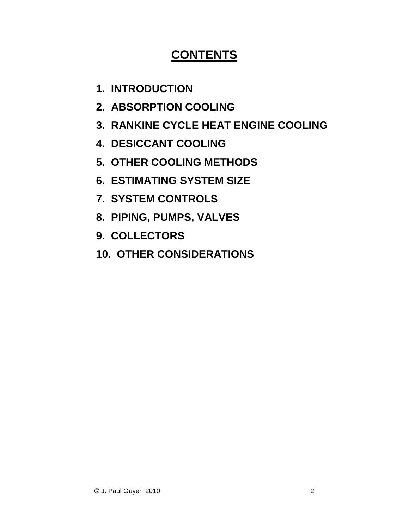# **CONTENTS**

- **1. INTRODUCTION**
- **2. ABSORPTION COOLING**
- **3. RANKINE CYCLE HEAT ENGINE COOLING**
- **4. DESICCANT COOLING**
- **5. OTHER COOLING METHODS**
- **6. ESTIMATING SYSTEM SIZE**
- **7. SYSTEM CONTROLS**
- **8. PIPING, PUMPS, VALVES**
- **9. COLLECTORS**
- **10. OTHER CONSIDERATIONS**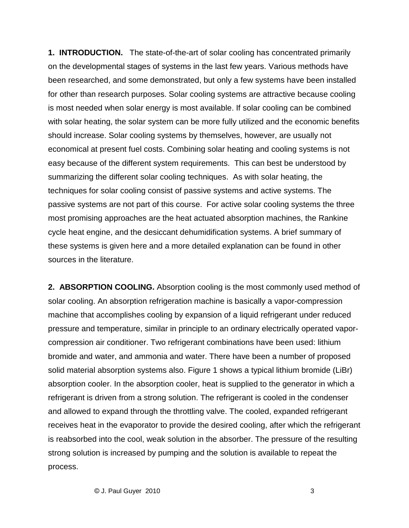**1. INTRODUCTION.** The state-of-the-art of solar cooling has concentrated primarily on the developmental stages of systems in the last few years. Various methods have been researched, and some demonstrated, but only a few systems have been installed for other than research purposes. Solar cooling systems are attractive because cooling is most needed when solar energy is most available. If solar cooling can be combined with solar heating, the solar system can be more fully utilized and the economic benefits should increase. Solar cooling systems by themselves, however, are usually not economical at present fuel costs. Combining solar heating and cooling systems is not easy because of the different system requirements. This can best be understood by summarizing the different solar cooling techniques. As with solar heating, the techniques for solar cooling consist of passive systems and active systems. The passive systems are not part of this course. For active solar cooling systems the three most promising approaches are the heat actuated absorption machines, the Rankine cycle heat engine, and the desiccant dehumidification systems. A brief summary of these systems is given here and a more detailed explanation can be found in other sources in the literature.

**2. ABSORPTION COOLING.** Absorption cooling is the most commonly used method of solar cooling. An absorption refrigeration machine is basically a vapor-compression machine that accomplishes cooling by expansion of a liquid refrigerant under reduced pressure and temperature, similar in principle to an ordinary electrically operated vapor compression air conditioner. Two refrigerant combinations have been used: lithium bromide and water, and ammonia and water. There have been a number of proposed solid material absorption systems also. Figure 1 shows a typical lithium bromide (LiBr) absorption cooler. In the absorption cooler, heat is supplied to the generator in which a refrigerant is driven from a strong solution. The refrigerant is cooled in the condenser and allowed to expand through the throttling valve. The cooled, expanded refrigerant receives heat in the evaporator to provide the desired cooling, after which the refrigerant is reabsorbed into the cool, weak solution in the absorber. The pressure of the resulting strong solution is increased by pumping and the solution is available to repeat the process.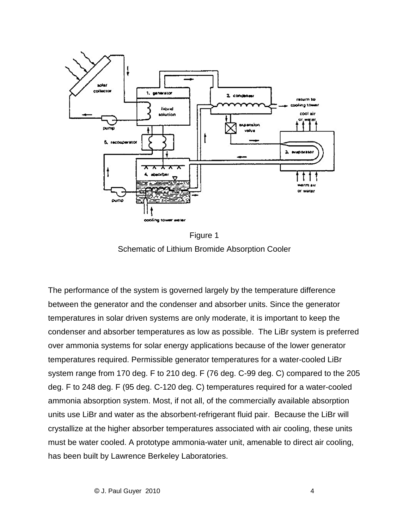

Figure 1 Schematic of Lithium Bromide Absorption Cooler

The performance of the system is governed largely by the temperature difference between the generator and the condenser and absorber units. Since the generator temperatures in solar driven systems are only moderate, it is important to keep the condenser and absorber temperatures as low as possible. The LiBr system is preferred over ammonia systems for solar energy applications because of the lower generator temperatures required. Permissible generator temperatures for a water-cooled LiBr system range from 170 deg. F to 210 deg. F (76 deg. C-99 deg. C) compared to the 205 deg. F to 248 deg. F (95 deg. C-120 deg. C) temperatures required for a water-cooled ammonia absorption system. Most, if not all, of the commercially available absorption units use LiBr and water as the absorbent-refrigerant fluid pair. Because the LiBr will crystallize at the higher absorber temperatures associated with air cooling, these units must be water cooled. A prototype ammonia-water unit, amenable to direct air cooling, has been built by Lawrence Berkeley Laboratories.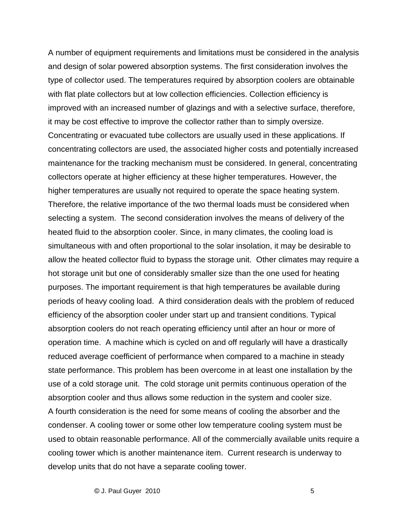A number of equipment requirements and limitations must be considered in the analysis and design of solar powered absorption systems. The first consideration involves the type of collector used. The temperatures required by absorption coolers are obtainable with flat plate collectors but at low collection efficiencies. Collection efficiency is improved with an increased number of glazings and with a selective surface, therefore, it may be cost effective to improve the collector rather than to simply oversize. Concentrating or evacuated tube collectors are usually used in these applications. If concentrating collectors are used, the associated higher costs and potentially increased maintenance for the tracking mechanism must be considered. In general, concentrating collectors operate at higher efficiency at these higher temperatures. However, the higher temperatures are usually not required to operate the space heating system. Therefore, the relative importance of the two thermal loads must be considered when selecting a system. The second consideration involves the means of delivery of the heated fluid to the absorption cooler. Since, in many climates, the cooling load is simultaneous with and often proportional to the solar insolation, it may be desirable to allow the heated collector fluid to bypass the storage unit. Other climates may require a hot storage unit but one of considerably smaller size than the one used for heating purposes. The important requirement is that high temperatures be available during periods of heavy cooling load. A third consideration deals with the problem of reduced efficiency of the absorption cooler under start up and transient conditions. Typical absorption coolers do not reach operating efficiency until after an hour or more of operation time. A machine which is cycled on and off regularly will have a drastically reduced average coefficient of performance when compared to a machine in steady state performance. This problem has been overcome in at least one installation by the use of a cold storage unit. The cold storage unit permits continuous operation of the absorption cooler and thus allows some reduction in the system and cooler size. A fourth consideration is the need for some means of cooling the absorber and the condenser. A cooling tower or some other low temperature cooling system must be used to obtain reasonable performance. All of the commercially available units require a cooling tower which is another maintenance item. Current research is underway to develop units that do not have a separate cooling tower.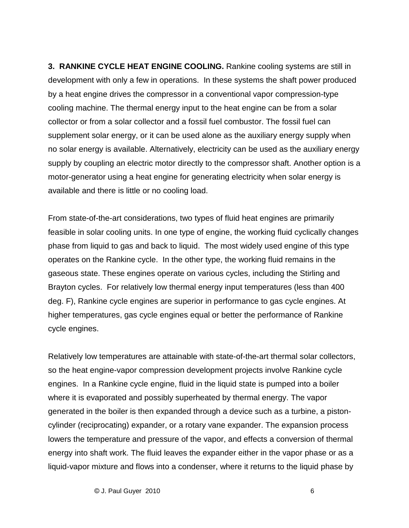**3. RANKINE CYCLE HEAT ENGINE COOLING.** Rankine cooling systems are still in development with only a few in operations. In these systems the shaft power produced by a heat engine drives the compressor in a conventional vapor compression-type cooling machine. The thermal energy input to the heat engine can be from a solar collector or from a solar collector and a fossil fuel combustor. The fossil fuel can supplement solar energy, or it can be used alone as the auxiliary energy supply when no solar energy is available. Alternatively, electricity can be used as the auxiliary energy supply by coupling an electric motor directly to the compressor shaft. Another option is a motor-generator using a heat engine for generating electricity when solar energy is available and there is little or no cooling load.

From state-of-the-art considerations, two types of fluid heat engines are primarily feasible in solar cooling units. In one type of engine, the working fluid cyclically changes phase from liquid to gas and back to liquid. The most widely used engine of this type operates on the Rankine cycle. In the other type, the working fluid remains in the gaseous state. These engines operate on various cycles, including the Stirling and Brayton cycles. For relatively low thermal energy input temperatures (less than 400 deg. F), Rankine cycle engines are superior in performance to gas cycle engines. At higher temperatures, gas cycle engines equal or better the performance of Rankine cycle engines.

Relatively low temperatures are attainable with state-of-the-art thermal solar collectors, so the heat engine-vapor compression development projects involve Rankine cycle engines. In a Rankine cycle engine, fluid in the liquid state is pumped into a boiler where it is evaporated and possibly superheated by thermal energy. The vapor generated in the boiler is then expanded through a device such as a turbine, a piston cylinder (reciprocating) expander, or a rotary vane expander. The expansion process lowers the temperature and pressure of the vapor, and effects a conversion of thermal energy into shaft work. The fluid leaves the expander either in the vapor phase or as a liquid-vapor mixture and flows into a condenser, where it returns to the liquid phase by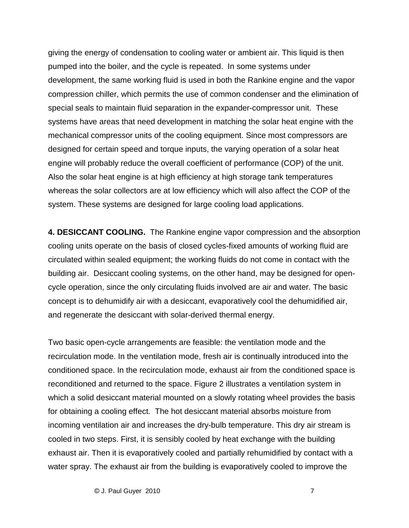giving the energy of condensation to cooling water or ambient air. This liquid is then pumped into the boiler, and the cycle is repeated. In some systems under development, the same working fluid is used in both the Rankine engine and the vapor compression chiller, which permits the use of common condenser and the elimination of special seals to maintain fluid separation in the expander-compressor unit. These systems have areas that need development in matching the solar heat engine with the mechanical compressor units of the cooling equipment. Since most compressors are designed for certain speed and torque inputs, the varying operation of a solar heat engine will probably reduce the overall coefficient of performance (COP) of the unit. Also the solar heat engine is at high efficiency at high storage tank temperatures whereas the solar collectors are at low efficiency which will also affect the COP of the system. These systems are designed for large cooling load applications.

**4. DESICCANT COOLING.** The Rankine engine vapor compression and the absorption cooling units operate on the basis of closed cycles-fixed amounts of working fluid are circulated within sealed equipment; the working fluids do not come in contact with the building air. Desiccant cooling systems, on the other hand, may be designed for open cycle operation, since the only circulating fluids involved are air and water. The basic concept is to dehumidify air with a desiccant, evaporatively cool the dehumidified air, and regenerate the desiccant with solar-derived thermal energy.

Two basic open-cycle arrangements are feasible: the ventilation mode and the recirculation mode. In the ventilation mode, fresh air is continually introduced into the conditioned space. In the recirculation mode, exhaust air from the conditioned space is reconditioned and returned to the space. Figure 2 illustrates a ventilation system in which a solid desiccant material mounted on a slowly rotating wheel provides the basis for obtaining a cooling effect. The hot desiccant material absorbs moisture from incoming ventilation air and increases the dry-bulb temperature. This dry air stream is cooled in two steps. First, it is sensibly cooled by heat exchange with the building exhaust air. Then it is evaporatively cooled and partially rehumidified by contact with a water spray. The exhaust air from the building is evaporatively cooled to improve the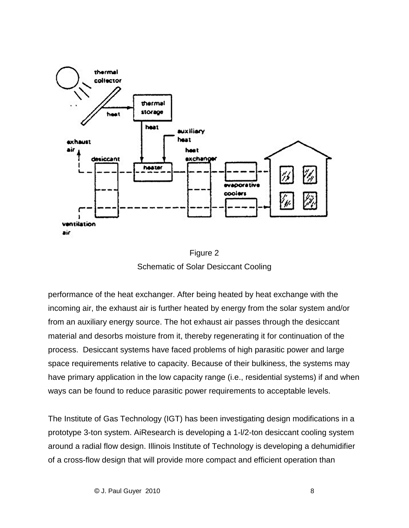

Figure 2 Schematic of Solar Desiccant Cooling

performance of the heat exchanger. After being heated by heat exchange with the incoming air, the exhaust air is further heated by energy from the solar system and/or from an auxiliary energy source. The hot exhaust air passes through the desiccant material and desorbs moisture from it, thereby regenerating it for continuation of the process. Desiccant systems have faced problems of high parasitic power and large space requirements relative to capacity. Because of their bulkiness, the systems may have primary application in the low capacity range (i.e., residential systems) if and when ways can be found to reduce parasitic power requirements to acceptable levels.

The Institute of Gas Technology (IGT) has been investigating design modifications in a prototype 3-ton system. AiResearch is developing a 1-l/2-ton desiccant cooling system around a radial flow design. Illinois Institute of Technology is developing a dehumidifier of a cross-flow design that will provide more compact and efficient operation than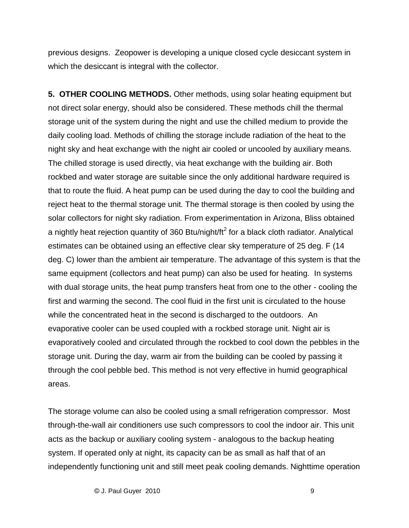previous designs. Zeopower is developing a unique closed cycle desiccant system in which the desiccant is integral with the collector.

**5. OTHER COOLING METHODS.** Other methods, using solar heating equipment but not direct solar energy, should also be considered. These methods chill the thermal storage unit of the system during the night and use the chilled medium to provide the daily cooling load. Methods of chilling the storage include radiation of the heat to the night sky and heat exchange with the night air cooled or uncooled by auxiliary means. The chilled storage is used directly, via heat exchange with the building air. Both rockbed and water storage are suitable since the only additional hardware required is that to route the fluid. A heat pump can be used during the day to cool the building and reject heat to the thermal storage unit. The thermal storage is then cooled by using the solar collectors for night sky radiation. From experimentation in Arizona, Bliss obtained a nightly heat rejection quantity of 360 Btu/night/ft $^2$  for a black cloth radiator. Analytical estimates can be obtained using an effective clear sky temperature of 25 deg. F (14 deg. C) lower than the ambient air temperature. The advantage of this system is that the same equipment (collectors and heat pump) can also be used for heating. In systems with dual storage units, the heat pump transfers heat from one to the other - cooling the first and warming the second. The cool fluid in the first unit is circulated to the house while the concentrated heat in the second is discharged to the outdoors. An evaporative cooler can be used coupled with a rockbed storage unit. Night air is evaporatively cooled and circulated through the rockbed to cool down the pebbles in the storage unit. During the day, warm air from the building can be cooled by passing it through the cool pebble bed. This method is not very effective in humid geographical areas.

©The storage volume can also be cooled using a small refrigeration compressor. Most through-the-wall air conditioners use such compressors to cool the indoor air. This unit acts as the backup or auxiliary cooling system - analogous to the backup heating system. If operated only at night, its capacity can be as small as half that of an independently functioning unit and still meet peak cooling demands. Nighttime operation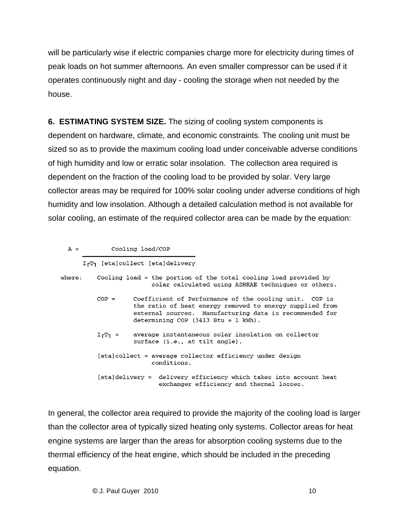will be particularly wise if electric companies charge more for electricity during times of peak loads on hot summer afternoons. An even smaller compressor can be used if it operates continuously night and day - cooling the storage when not needed by the house.

**6. ESTIMATING SYSTEM SIZE.** The sizing of cooling system components is dependent on hardware, climate, and economic constraints. The cooling unit must be sized so as to provide the maximum cooling load under conceivable adverse conditions of high humidity and low or erratic solar insolation. The collection area required is dependent on the fraction of the cooling load to be provided by solar. Very large collector areas may be required for 100% solar cooling under adverse conditions of high humidity and low insolation. Although a detailed calculation method is not available for solar cooling, an estimate of the required collector area can be made by the equation:

 $A =$ Cooling load/COP

IrT<sub>1</sub> [eta]collect [eta]delivery

| where: |                                                                         | Cooling load = the portion of the total cooling load provided by<br>solar calculated using ASHRAE techniques or others.                                                                                                                 |  |
|--------|-------------------------------------------------------------------------|-----------------------------------------------------------------------------------------------------------------------------------------------------------------------------------------------------------------------------------------|--|
|        | $COP =$                                                                 | Coefficient of Performance of the cooling unit. COP is<br>the ratio of heat energy removed to energy supplied from<br>external sources. Manufacturing data is recommended for<br>determining COP $(3413 \text{ Btu} = 1 \text{ kWh})$ . |  |
|        | $I_T T_1 =$                                                             | average instantaneous solar insolation on collector<br>surface (i.e., at tilt angle).                                                                                                                                                   |  |
|        | [eta]collect = average collector efficiency under design<br>conditions. |                                                                                                                                                                                                                                         |  |
|        |                                                                         | [eta]delivery = delivery efficiency which takes into account heat<br>exchanger efficiency and thermal losses.                                                                                                                           |  |

In general, the collector area required to provide the majority of the cooling load is larger than the collector area of typically sized heating only systems. Collector areas for heat engine systems are larger than the areas for absorption cooling systems due to the thermal efficiency of the heat engine, which should be included in the preceding equation.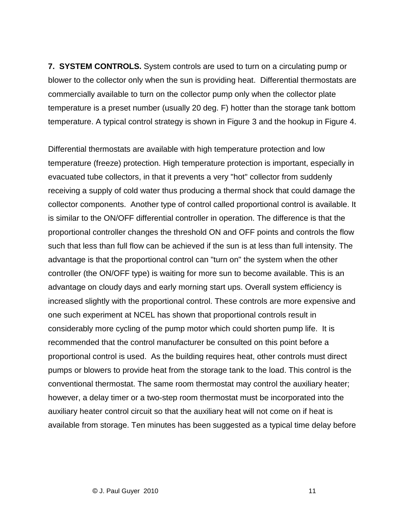**7. SYSTEM CONTROLS.** System controls are used to turn on a circulating pump or blower to the collector only when the sun is providing heat. Differential thermostats are commercially available to turn on the collector pump only when the collector plate temperature is a preset number (usually 20 deg. F) hotter than the storage tank bottom temperature. A typical control strategy is shown in Figure 3 and the hookup in Figure 4.

Differential thermostats are available with high temperature protection and low temperature (freeze) protection. High temperature protection is important, especially in evacuated tube collectors, in that it prevents a very "hot" collector from suddenly receiving a supply of cold water thus producing a thermal shock that could damage the collector components. Another type of control called proportional control is available. It is similar to the ON/OFF differential controller in operation. The difference is that the proportional controller changes the threshold ON and OFF points and controls the flow such that less than full flow can be achieved if the sun is at less than full intensity. The advantage is that the proportional control can "turn on" the system when the other controller (the ON/OFF type) is waiting for more sun to become available. This is an advantage on cloudy days and early morning start ups. Overall system efficiency is increased slightly with the proportional control. These controls are more expensive and one such experiment at NCEL has shown that proportional controls result in considerably more cycling of the pump motor which could shorten pump life. It is recommended that the control manufacturer be consulted on this point before a proportional control is used. As the building requires heat, other controls must direct pumps or blowers to provide heat from the storage tank to the load. This control is the conventional thermostat. The same room thermostat may control the auxiliary heater; however, a delay timer or a two-step room thermostat must be incorporated into the auxiliary heater control circuit so that the auxiliary heat will not come on if heat is available from storage. Ten minutes has been suggested as a typical time delay before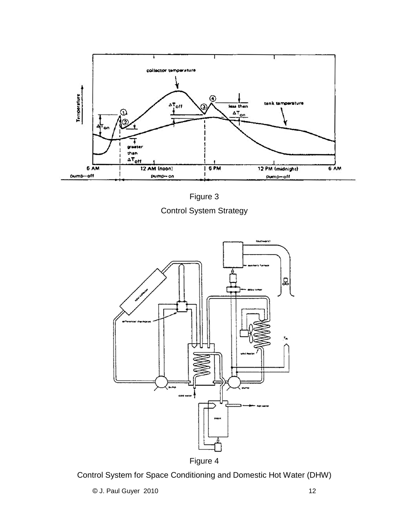

Figure 3 Control System Strategy



©Control System for Space Conditioning and Domestic Hot Water (DHW)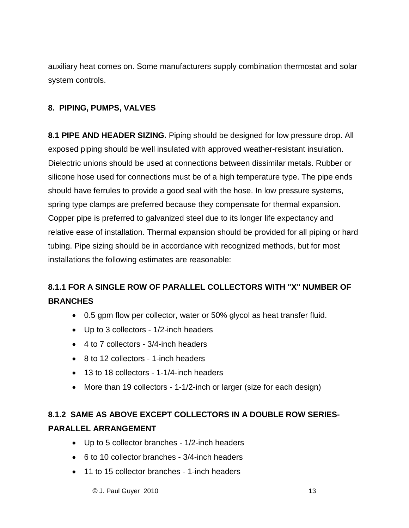auxiliary heat comes on.Some manufacturers supply combination thermostat and solar system controls.

### **8. PIPING, PUMPS, VALVES**

**8.1 PIPE AND HEADER SIZING.** Piping should be designed for low pressure drop. All exposed piping should be well insulated with approved weather-resistant insulation. Dielectric unions should be used at connections between dissimilar metals. Rubber or silicone hose used for connections must be of a high temperature type. The pipe ends should have ferrules to provide a good seal with the hose. In low pressure systems, spring type clamps are preferred because they compensate for thermal expansion. Copper pipe is preferred to galvanized steel due to its longer life expectancy and relative ease of installation. Thermal expansion should be provided for all piping or hard tubing. Pipe sizing should be in accordance with recognized methods, but for most installations the following estimates are reasonable:

### **8.1.1 FOR A SINGLE ROW OF PARALLEL COLLECTORS WITH "X" NUMBER OF BRANCHES**  $\overline{a}$

- 0.5 gpm flow per collector, water or 50% glycol as heat transfer fluid.
- Up to 3 collectors 1/2-inch headers
- 4 to 7 collectors 3/4-inch headers
- 8 to 12 collectors 1-inch headers
- 13 to 18 collectors 1-1/4-inch headers
- More than 19 collectors 1-1/2-inch or larger (size for each design)

### **8.1.2 SAME AS ABOVE EXCEPT COLLECTORS IN A DOUBLE ROW SERIES- PARALLEL ARRANGEMENT** l.

- Up to 5 collector branches 1/2-inch headers
- 6 to 10 collector branches 3/4-inch headers
- © 11 to 15 collector branches 1-inch headers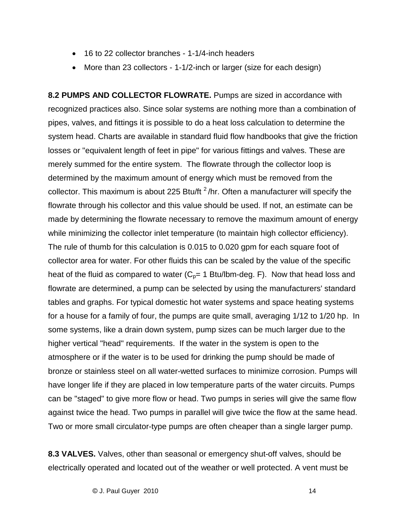- 16 to 22 collector branches 1-1/4-inch headers
- More than 23 collectors 1-1/2-inch or larger (size for each design)

**8.2 PUMPS AND COLLECTOR FLOWRATE.** Pumps are sized in accordance with recognized practices also. Since solar systems are nothing more than a combination of pipes, valves, and fittings it is possible to do a heat loss calculation to determine the system head. Charts are available in standard fluid flow handbooks that give the friction losses or "equivalent length of feet in pipe" for various fittings and valves. These are merely summed for the entire system. The flowrate through the collector loop is determined by the maximum amount of energy which must be removed from the collector. This maximum is about 225 Btu/ft  $^2$ /hr. Often a manufacturer will specify the flowrate through his collector and this value should be used. If not, an estimate can be made by determining the flowrate necessary to remove the maximum amount of energy while minimizing the collector inlet temperature (to maintain high collector efficiency). The rule of thumb for this calculation is 0.015 to 0.020 gpm for each square foot of collector area for water. For other fluids this can be scaled by the value of the specific heat of the fluid as compared to water  $(C_p= 1 \text{ Btu/lbm-deg. F})$ . Now that head loss and flowrate are determined, a pump can be selected by using the manufacturers' standard tables and graphs. For typical domestic hot water systems and space heating systems for a house for a family of four, the pumps are quite small, averaging 1/12 to 1/20 hp. In some systems, like a drain down system, pump sizes can be much larger due to the higher vertical "head" requirements. If the water in the system is open to the atmosphere or if the water is to be used for drinking the pump should be made of bronze or stainless steel on all water-wetted surfaces to minimize corrosion. Pumps will have longer life if they are placed in low temperature parts of the water circuits. Pumps can be "staged" to give more flow or head. Two pumps in series will give the same flow against twice the head. Two pumps in parallel will give twice the flow at the same head. Two or more small circulator-type pumps are often cheaper than a single larger pump.

©electrically operated and located out of the weather or well protected. A vent must be**8.3 VALVES.** Valves, other than seasonal or emergency shut-off valves, should be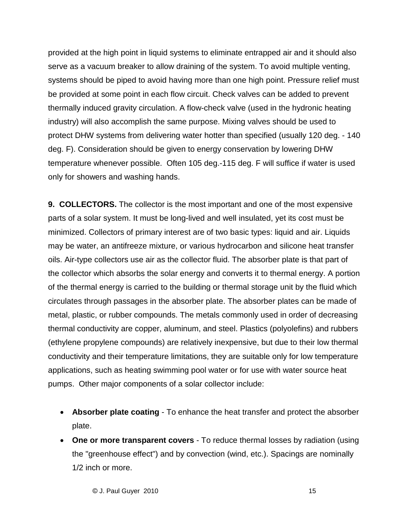provided at the high point in liquid systems to eliminate entrapped air and it should also serve as a vacuum breaker to allow draining of the system. To avoid multiple venting, systems should be piped to avoid having more than one high point. Pressure relief must be provided at some point in each flow circuit. Check valves can be added to prevent thermally induced gravity circulation. A flow-check valve (used in the hydronic heating industry) will also accomplish the same purpose. Mixing valves should be used to protect DHW systems from delivering water hotter than specified (usually 120 deg. - 140 deg. F). Consideration should be given to energy conservation by lowering DHW temperature whenever possible. Often 105 deg.-115 deg. F will suffice if water is used only for showers and washing hands.

**9. COLLECTORS.** The collector is the most important and one of the most expensive parts of a solar system. It must be long-lived and well insulated, yet its cost must be minimized. Collectors of primary interest are of two basic types: liquid and air. Liquids may be water, an antifreeze mixture, or various hydrocarbon and silicone heat transfer oils. Air-type collectors use air as the collector fluid. The absorber plate is that part of the collector which absorbs the solar energy and converts it to thermal energy. A portion of the thermal energy is carried to the building or thermal storage unit by the fluid which circulates through passages in the absorber plate. The absorber plates can be made of metal, plastic, or rubber compounds. The metals commonly used in order of decreasing thermal conductivity are copper, aluminum, and steel. Plastics (polyolefins) and rubbers (ethylene propylene compounds) are relatively inexpensive, but due to their low thermal conductivity and their temperature limitations, they are suitable only for low temperature applications, such as heating swimming pool water or for use with water source heat pumps. Other major components of a solar collector include:

- **Absorber plate coating** To enhance the heat transfer and protect the absorber plate.
- © **One or more transparent covers** - To reduce thermal losses by radiation (using the "greenhouse effect") and by convection (wind, etc.). Spacings are nominally 1/2 inch or more.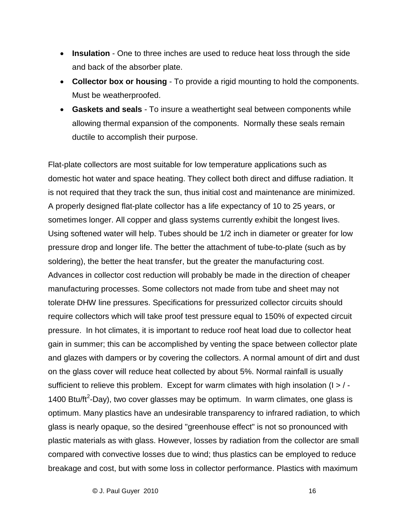- **Insulation** One to three inches are used to reduce heat loss through the side and back of the absorber plate.
- **Collector box or housing** To provide a rigid mounting to hold the components. Must be weatherproofed.
- **Gaskets and seals** To insure a weathertight seal between components while allowing thermal expansion of the components. Normally these seals remain ductile to accomplish their purpose.

breakage and cost, but with some loss in collector performance. Plastics with maximum Flat-plate collectors are most suitable for low temperature applications such as domestic hot water and space heating. They collect both direct and diffuse radiation. It is not required that they track the sun, thus initial cost and maintenance are minimized. A properly designed flat-plate collector has a life expectancy of 10 to 25 years, or sometimes longer. All copper and glass systems currently exhibit the longest lives. Using softened water will help. Tubes should be 1/2 inch in diameter or greater for low pressure drop and longer life. The better the attachment of tube-to-plate (such as by soldering), the better the heat transfer, but the greater the manufacturing cost. Advances in collector cost reduction will probably be made in the direction of cheaper manufacturing processes. Some collectors not made from tube and sheet may not tolerate DHW line pressures. Specifications for pressurized collector circuits should require collectors which will take proof test pressure equal to 150% of expected circuit pressure. In hot climates, it is important to reduce roof heat load due to collector heat gain in summer; this can be accomplished by venting the space between collector plate and glazes with dampers or by covering the collectors. A normal amount of dirt and dust on the glass cover will reduce heat collected by about 5%. Normal rainfall is usually sufficient to relieve this problem. Except for warm climates with high insolation  $(1 > / -)$ 1400 Btu/ft<sup>2</sup>-Day), two cover glasses may be optimum. In warm climates, one glass is optimum. Many plastics have an undesirable transparency to infrared radiation, to which glass is nearly opaque, so the desired "greenhouse effect" is not so pronounced with plastic materials as with glass. However, losses by radiation from the collector are small compared with convective losses due to wind; thus plastics can be employed to reduce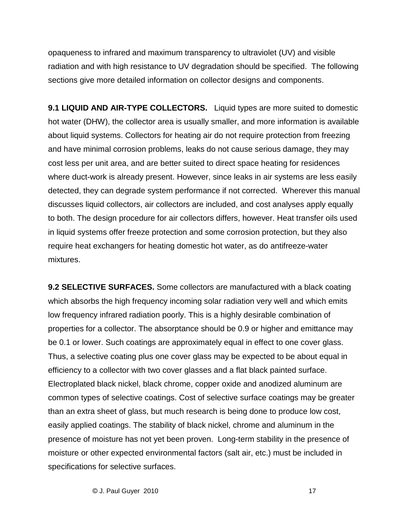opaqueness to infrared and maximum transparency to ultraviolet (UV) and visible radiation and with high resistance to UV degradation should be specified. The following sections give more detailed information on collector designs and components.

**9.1 LIQUID AND AIR-TYPE COLLECTORS.** Liquid types are more suited to domestic hot water (DHW), the collector area is usually smaller, and more information is available about liquid systems. Collectors for heating air do not require protection from freezing and have minimal corrosion problems, leaks do not cause serious damage, they may cost less per unit area, and are better suited to direct space heating for residences where duct-work is already present. However, since leaks in air systems are less easily detected, they can degrade system performance if not corrected. Wherever this manual discusses liquid collectors, air collectors are included, and costanalyses apply equally to both. The design procedure for air collectors differs, however. Heat transfer oils used in liquid systems offer freeze protection and some corrosion protection, but they also require heat exchangers for heating domestic hotwater, as do antifreeze-water mixtures.

**9.2 SELECTIVE SURFACES.** Some collectors are manufactured with a black coating which absorbs the high frequency incoming solar radiation very well and which emits low frequency infrared radiation poorly. This is a highly desirable combination of properties for a collector. The absorptance should be 0.9 or higher and emittance may be 0.1 or lower. Such coatings are approximately equal in effect to one cover glass. Thus, a selective coating plus one cover glass may be expected to be about equal in efficiency to a collector with two cover glasses and a flat black painted surface. Electroplated black nickel, black chrome, copper oxide and anodized aluminum are common types of selective coatings. Cost of selective surface coatings may be greater than an extra sheet of glass, but much research is being done to produce low cost, easily applied coatings. The stability of black nickel, chrome and aluminum in the presence of moisture has not yet been proven. Long-term stability in the presence of moisture or other expected environmental factors (salt air, etc.) must be included in specifications for selective surfaces.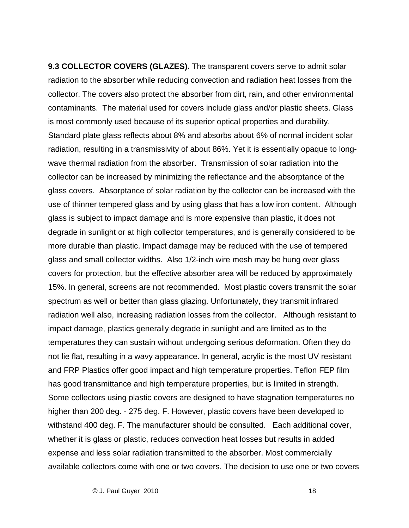**9.3 COLLECTOR COVERS (GLAZES).** The transparent covers serve to admit solar radiation to the absorber while reducing convection and radiation heat losses from the collector. The covers also protect the absorber from dirt, rain, and other environmental contaminants. The material used for covers include glass and/or plastic sheets. Glass is most commonly used because of its superior optical properties and durability. Standard plate glass reflects about 8% and absorbs about 6% of normal incident solar radiation, resulting in a transmissivity of about 86%. Yet it is essentially opaque to long wave thermal radiation from the absorber. Transmission of solar radiation into the collector can be increased by minimizing the reflectance and the absorptance of the glass covers. Absorptance of solar radiation by the collector can be increased with the use of thinner tempered glass and by using glass that has a low iron content. Although glass is subject to impact damage and is more expensive than plastic, it does not degrade in sunlight or at high collector temperatures, and is generally considered to be more durable than plastic. Impact damage may be reduced with the use of tempered glass and small collector widths. Also 1/2-inch wire mesh may be hung over glass covers for protection, but the effective absorber area will be reduced by approximately 15%. In general, screens are not recommended. Most plastic covers transmit the solar spectrum as well or better than glass glazing. Unfortunately, they transmit infrared radiation well also, increasing radiation losses from the collector. Although resistant to impact damage, plastics generally degrade in sunlight and are limited as to the temperatures they can sustain without undergoing serious deformation. Often they do not lie flat, resulting in a wavy appearance. In general, acrylic is the most UV resistant and FRP Plastics offer good impact and high temperature properties. Teflon FEP film has good transmittance and high temperature properties, but is limited in strength. Some collectors using plastic covers are designed to have stagnation temperatures no higher than 200 deg. - 275 deg. F. However, plastic covers have been developed to withstand 400 deg. F. The manufacturer should be consulted. Each additional cover, whether it is glass or plastic, reduces convection heat losses but results in added expense and less solar radiation transmitted to the absorber. Most commercially available collectors come with one or two covers. The decision to use one or two covers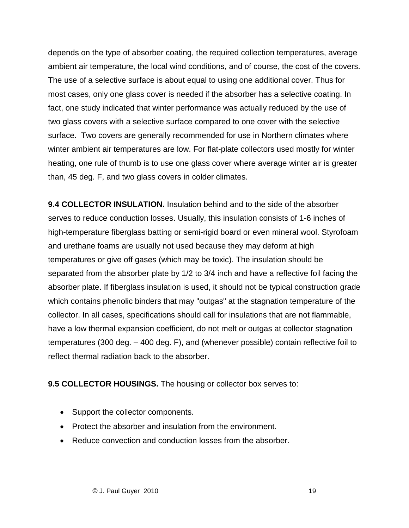depends on the type of absorber coating, the required collection temperatures, average ambient air temperature, the local wind conditions, and of course, the cost of the covers. The use of a selective surface is about equal to using one additional cover. Thus for most cases, only one glass cover is needed if the absorber has a selective coating. In fact, one study indicated that winter performance was actually reduced by the use of two glass covers with a selective surface compared to one cover with the selective surface. Two covers are generally recommended for use in Northern climates where winter ambient air temperatures are low. For flat-plate collectors used mostly for winter heating, one rule of thumb is to use one glass cover where average winter air is greater than, 45 deg. F, and two glass covers in colder climates.

**9.4 COLLECTOR INSULATION.** Insulation behind and to the side of the absorber serves to reduce conduction losses. Usually, this insulation consists of 1-6 inches of high-temperature fiberglass batting or semi-rigid board or even mineral wool. Styrofoam and urethane foams are usually not used because they may deform at high temperatures or give off gases (which may be toxic). The insulation should be separated from the absorber plate by 1/2 to 3/4 inch and have a reflective foil facing the absorber plate. If fiberglass insulation is used, it should not be typical construction grade which contains phenolic binders that may "outgas" at the stagnation temperature of the collector. In all cases, specifications should call for insulations that are not flammable, have a low thermal expansion coefficient, do not melt or outgas at collector stagnation temperatures (300 deg.  $-$  400 deg. F), and (whenever possible) contain reflective foil to reflect thermal radiation back to the absorber.

### **9.5 COLLECTOR HOUSINGS.** The housing or collector box serves to:

- Support the collector components.
- Protect the absorber and insulation from the environment.
- Reduce convection and conduction losses from the absorber.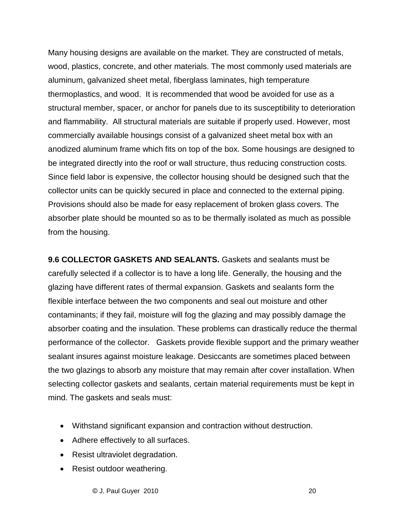Many housing designs are available on the market. They are constructed of metals, wood, plastics, concrete, and other materials. The most commonly used materials are aluminum, galvanized sheet metal, fiberglass laminates, high temperature thermoplastics, and wood. It is recommended that wood be avoided for use as a structural member, spacer, or anchor for panels due to its susceptibility to deterioration and flammability. All structural materials are suitable if properly used. However, most commercially available housings consist of a galvanized sheet metal box with an anodized aluminum frame which fits on top of the box. Some housings are designed to be integrated directly into the roof or wall structure, thus reducing construction costs. Since field labor is expensive, the collector housing should be designed such that the collector units can be quickly secured in place and connected to the external piping. Provisions should also be made for easy replacement of broken glass covers. The absorber plate should be mounted so as to be thermally isolated as much as possible from the housing.

**9.6 COLLECTOR GASKETS AND SEALANTS.** Gaskets and sealants must be carefully selected if a collector is to have a long life. Generally, the housing and the glazing have different rates of thermal expansion. Gaskets and sealants form the flexible interface between the two components and seal out moisture and other contaminants; if they fail, moisture will fog the glazing and may possibly damage the absorber coating and the insulation. These problems can drastically reduce the thermal performance of the collector. Gaskets provide flexible support and the primary weather sealant insures against moisture leakage. Desiccants are sometimes placed between the two glazings to absorb any moisture that may remain after cover installation. When selecting collector gaskets and sealants, certain material requirements must be kept in mind. The gaskets and seals must:

- Withstand significant expansion and contraction without destruction.
- Adhere effectively to all surfaces.
- Resist ultraviolet degradation.
- Resist outdoor weathering.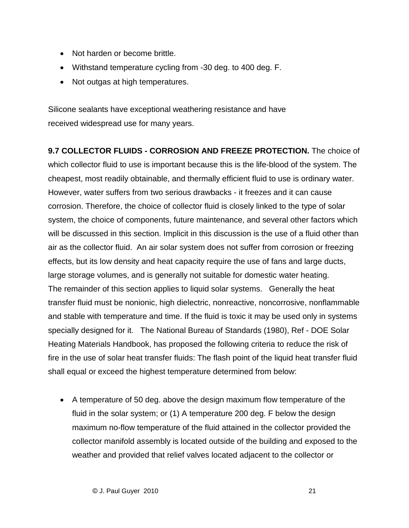- Not harden or become brittle.
- Withstand temperature cycling from -30 deg. to <sup>400</sup> deg. F.
- Not outgas at high temperatures.

Silicone sealants have exceptional weathering resistance and have received widespread use for many years.

**9.7 COLLECTOR FLUIDS - CORROSION AND FREEZE PROTECTION.** The choice of which collector fluid to use is important because this is the life-blood of the system. The cheapest, most readily obtainable, and thermally efficient fluid to use is ordinary water. However, water suffers from two serious drawbacks - it freezes and it can cause corrosion. Therefore, the choice of collector fluid is closely linked to the type of solar system, the choice of components, future maintenance, and several other factors which will be discussed in this section. Implicit in this discussion is the use of a fluid other than air as the collector fluid. An air solar system doesnot suffer from corrosion or freezing effects, but its low density and heat capacity require the use of fans and large ducts, large storage volumes, and is generally not suitable for domestic water heating. The remainder of this section applies to liquid solar systems. Generally the heat transfer fluid must be nonionic, high dielectric, nonreactive, noncorrosive, nonflammable and stable with temperature and time. If the fluid is toxic it may be used only in systems specially designed for it. The National Bureau of Standards (1980), Ref - DOE Solar Heating Materials Handbook, has proposed the following criteria to reduce the risk of fire in the use of solar heat transfer fluids: The flash point of the liquid heat transfer fluid shall equal or exceed the highest temperature determined from below:

 A temperature of 50 deg. above the design maximum flow temperature of the fluid in the solar system; or (1) A temperature 200 deg. F below the design maximum no-flow temperature of the fluid attained in the collector provided the collector manifold assembly is located outside of the building and exposed to the weather and provided that relief valves located adjacent to the collector or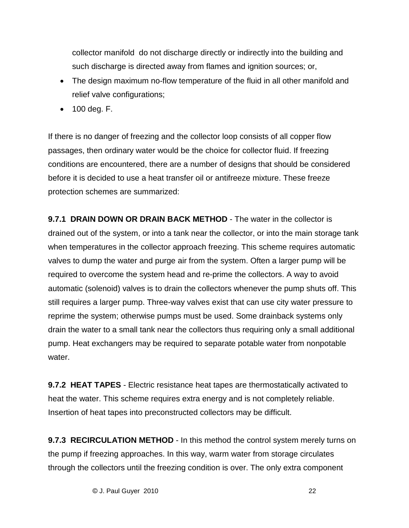collector manifold do not discharge directly orindirectly into the building and such discharge is directed away from flames and ignition sources; or,

- The design maximum no-flow temperature of the fluid in all other manifold and relief valve configurations;
- 100 deg. F.

If there is no danger of freezing and the collector loop consists of all copper flow passages, then ordinary water would be the choice for collector fluid. If freezing conditions are encountered, there are a number of designs that should be considered before it is decided to use a heat transfer oil or antifreeze mixture. These freeze protection schemes are summarized:

**9.7.1 DRAIN DOWN OR DRAIN BACK METHOD** - The water in the collector is drained out of the system, or into a tank near the collector, or into the main storage tank when temperatures in the collector approach freezing. This scheme requires automatic valves to dump the water and purge air from the system. Often a larger pump will be required to overcome the system head and re-prime the collectors. A way to avoid automatic (solenoid) valves is to drain the collectors whenever the pump shuts off.This still requires a larger pump. Three-way valves exist that can use city water pressure to reprime the system; otherwise pumps must be used. Some drainback systems only drain the water to a small tank near the collectors thus requiring only a small additional pump. Heat exchangers may be required to separate potable water from nonpotable water.

**9.7.2 HEAT TAPES** - Electric resistance heat tapes are thermostatically activated to heat the water. This scheme requires extra energy and is not completely reliable. Insertion of heat tapes into preconstructed collectors may be difficult.

through the collectors until the freezing condition is over. The only extra component **9.7.3 RECIRCULATION METHOD** - In this method the control system merely turns on the pump if freezing approaches. In this way, warm water from storage circulates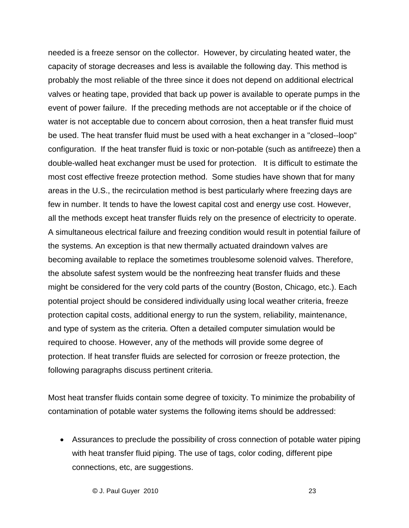needed is a freeze sensor on the collector. However, by circulating heated water, the capacity of storage decreases and less is available the following day. This method is probably the most reliable of the three since it does not depend on additional electrical valves or heating tape, provided that back up power is available to operate pumps in the event of power failure. If the preceding methods are not acceptable or if the choice of water is not acceptable due to concern about corrosion, then a heat transfer fluid must be used. The heat transfer fluid must be used with a heat exchanger in a "closed--loop" configuration. If the heat transfer fluid is toxic or non-potable (such as antifreeze) then a double-walled heat exchanger must be used for protection. It is difficult to estimate the most cost effective freeze protection method. Some studies have shown that for many areas in the U.S., the recirculation method is best particularly where freezing days are few in number. It tends to have the lowest capital cost and energy use cost. However, all the methods except heat transfer fluids rely on the presence of electricity to operate. A simultaneous electrical failure and freezing condition would result in potential failure of the systems. An exception is that new thermally actuated draindown valves are becoming available to replace the sometimes troublesome solenoid valves. Therefore, the absolute safest system would be the nonfreezing heat transfer fluids and these might be considered for the very cold parts of the country (Boston, Chicago, etc.). Each potential project should be considered individually using local weather criteria, freeze protection capital costs, additional energy to run the system, reliability, maintenance, and type of system as the criteria. Often a detailed computer simulation would be required to choose. However, any of the methods will provide some degree of protection. If heat transfer fluids are selected for corrosion or freeze protection, the following paragraphs discuss pertinent criteria.

Most heat transfer fluids contain some degree of toxicity. To minimize the probability of contamination of potable water systems the following items should be addressed:

© Assurances to preclude the possibility of cross connection of potable water piping with heat transfer fluid piping. The use of tags, color coding, different pipe connections, etc, are suggestions.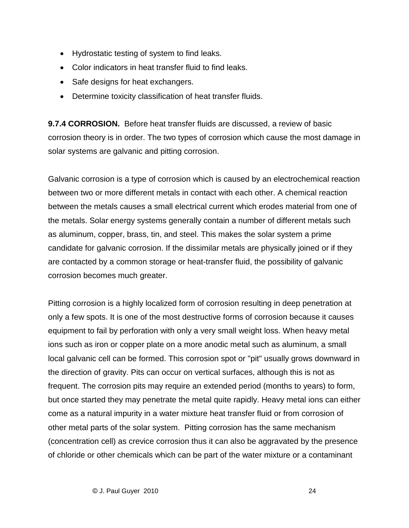- Hydrostatic testing of system to find leaks.
- Color indicators in heat transfer fluid to find leaks.
- Safe designs for heat exchangers.
- Determine toxicity classification of heat transfer fluids.

**9.7.4 CORROSION.** Before heat transfer fluids are discussed, a review of basic corrosion theory is in order. The two types of corrosion which cause the most damage in solar systems are galvanic and pitting corrosion.

Galvanic corrosion is a type of corrosion which is caused by an electrochemical reaction between two or more different metals in contact with each other. A chemical reaction between the metals causes a small electrical current which erodes material from one of the metals. Solar energy systems generally contain a number of different metals such as aluminum, copper, brass, tin, and steel. This makes the solar system a prime candidate for galvanic corrosion. If the dissimilar metals are physically joined or if they are contacted by a common storage or heat-transfer fluid, the possibility of galvanic corrosion becomes much greater.

Pitting corrosion is a highly localized form of corrosion resulting in deep penetration at only a few spots. It is one of the most destructive forms of corrosion because it causes equipment to fail by perforation with only a very small weight loss. When heavy metal ions such as iron or copper plate on a more anodic metal such as aluminum, a small local galvanic cell can be formed. This corrosion spot or "pit" usually grows downward in the direction of gravity. Pits can occur on vertical surfaces, although this is not as frequent. The corrosion pits may require an extended period (months to years) to form, but once started they may penetrate the metal quite rapidly. Heavy metal ions can either come as a natural impurity in a water mixture heat transfer fluid or from corrosion of other metal parts of the solar system. Pitting corrosion has the same mechanism (concentration cell) as crevice corrosion thus it can also be aggravated by the presence of chloride or other chemicals which can be part of the water mixture or a contaminant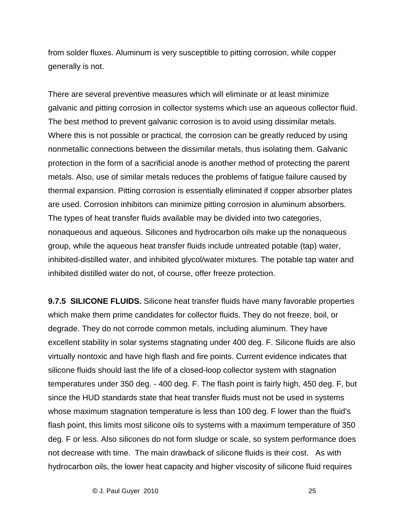from solder fluxes. Aluminum is very susceptible to pitting corrosion, while copper generally is not.

There are several preventive measures which will eliminate or at least minimize galvanic and pitting corrosion in collector systems which use an aqueous collector fluid. The best method to prevent galvanic corrosion is to avoid using dissimilar metals. Where this is not possible or practical, the corrosion can be greatly reduced by using nonmetallic connections between the dissimilar metals, thus isolating them. Galvanic protection in the form of a sacrificial anode is another method of protecting the parent metals. Also, use of similar metals reduces the problems of fatigue failure caused by thermal expansion. Pitting corrosion is essentially eliminated if copper absorber plates are used. Corrosion inhibitors can minimize pitting corrosion in aluminum absorbers. The types of heat transfer fluids available may be divided into two categories, nonaqueous and aqueous. Silicones and hydrocarbon oils make up the nonaqueous group, while the aqueous heat transfer fluids include untreated potable (tap) water, inhibited-distilled water, and inhibited glycol/water mixtures. The potable tap water and inhibited distilled water do not, of course, offer freeze protection.

**9.7.5 SILICONE FLUIDS.** Silicone heat transfer fluids have many favorable properties which make them prime candidates for collector fluids. They do not freeze, boil, or degrade. They do not corrode common metals, including aluminum. They have excellent stability in solar systems stagnating under 400 deg. F. Silicone fluids are also virtually nontoxic and have high flash and fire points. Current evidence indicates that silicone fluids should last the life of a closed-loop collector system with stagnation temperatures under 350 deg. - 400 deg. F. The flash point is fairly high, 450 deg. F, but since the HUD standards state that heat transfer fluids must not be used in systems whose maximum stagnation temperature is less than 100 deg. F lower than the fluid's flash point, this limits most silicone oils to systems with a maximum temperature of 350 deg. F or less. Also silicones do not form sludge or scale, so system performance does not decrease with time. The main drawback of silicone fluids is their cost. As with hydrocarbon oils, the lower heat capacity and higher viscosity of silicone fluid requires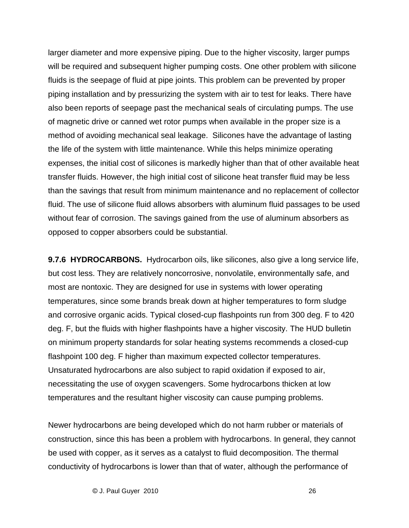larger diameter and more expensive piping. Due to the higher viscosity, larger pumps will be required and subsequent higher pumping costs. One other problem with silicone fluids is the seepage of fluid at pipe joints. This problem can be prevented by proper piping installation and by pressurizing the system withair to test for leaks. There have also been reports of seepage past the mechanical seals of circulating pumps. The use of magnetic drive or canned wet rotor pumps when available in the proper size is a method of avoiding mechanical seal leakage. Silicones have the advantage of lasting the life of the system with little maintenance. While this helps minimize operating expenses, the initial cost of silicones is markedly higher than that of other available heat transfer fluids. However, the high initial cost of silicone heat transfer fluid may be less than the savings that result from minimum maintenance and no replacement of collector fluid. The use of silicone fluid allows absorbers with aluminum fluid passages to be used without fear of corrosion. The savings gained from the use of aluminum absorbers as opposed to copper absorbers could be substantial.

**9.7.6 HYDROCARBONS.** Hydrocarbon oils, like silicones, also give a long service life, but cost less. They are relatively noncorrosive, nonvolatile, environmentally safe, and most are nontoxic. They are designed for use in systems with lower operating temperatures, since some brands break down at higher temperatures to form sludge and corrosive organic acids. Typical closed-cup flashpoints run from 300 deg. F to 420 deg. F, but the fluids with higher flashpoints have a higher viscosity. The HUD bulletin on minimum property standards for solar heating systems recommends a closed-cup flashpoint 100 deg. F higher than maximum expected collector temperatures. Unsaturated hydrocarbons are also subject to rapid oxidation if exposed to air, necessitating the use of oxygen scavengers. Some hydrocarbons thicken at low temperatures and the resultant higher viscosity can cause pumping problems.

Newer hydrocarbons are being developed which do not harm rubber or materials of construction, since this has been a problem with hydrocarbons. In general, they cannot be used with copper, as it serves as a catalyst to fluid decomposition. The thermal conductivity of hydrocarbons is lower than that of water, although the performance of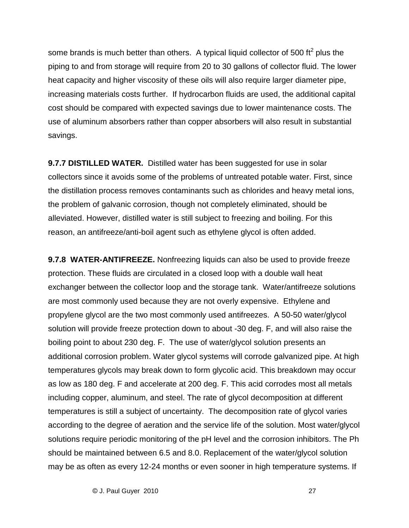some brands is much better than others. A typical liquid collector of 500 ft<sup>2</sup> plus the piping to and from storage will require from 20 to 30 gallons of collector fluid. The lower heat capacity and higher viscosity of these oils will also require larger diameter pipe, increasing materials costs further. If hydrocarbon fluids are used, the additional capital cost should be compared with expected savings due to lower maintenance costs. The use of aluminum absorbers rather than copper absorbers will also result in substantial savings.

**9.7.7 DISTILLED WATER.** Distilled water has been suggested for use in solar collectors since it avoids some of the problems of untreated potable water. First, since the distillation process removes contaminants such as chlorides and heavy metal ions, the problem of galvanic corrosion, though not completely eliminated, should be alleviated. However, distilled water is still subject to freezing and boiling. For this reason, an antifreeze/anti-boil agent such as ethylene glycol is often added.

**9.7.8 WATER-ANTIFREEZE.** Nonfreezing liquids can also be used to provide freeze protection. These fluids are circulated in a closed loop with a double wall heat exchanger between the collector loop and the storage tank. Water/antifreeze solutions are most commonly used because they are not overly expensive. Ethylene and propylene glycol are the two most commonly used antifreezes. A 50-50 water/glycol solution will provide freeze protection down to about -30 deg. F, and will also raise the boiling point to about 230 deg. F. The use of water/glycol solution presents an additional corrosion problem. Water glycol systems will corrode galvanized pipe. At high temperatures glycols may break down to form glycolic acid. This breakdown may occur as low as 180 deg. F and accelerate at 200 deg. F. This acid corrodes most all metals including copper, aluminum, and steel. The rate of glycol decomposition at different temperatures is still a subject of uncertainty. The decomposition rate of glycol varies according to the degree of aeration and the service life of the solution. Most water/glycol solutions require periodic monitoring of the pH level and the corrosion inhibitors. The Ph should be maintained between 6.5 and 8.0. Replacement of the water/glycol solution may be as often as every 12-24 months or even sooner in high temperature systems. If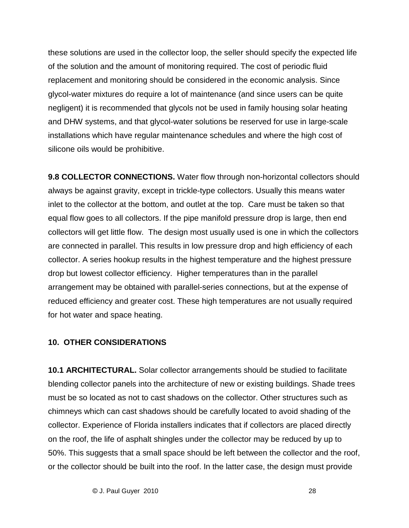these solutions are used in the collector loop, the seller should specify the expected life of the solution and the amount of monitoring required. The cost of periodic fluid replacement and monitoring should be considered in the economic analysis. Since glycol-water mixtures do require a lot of maintenance (and since users can be quite negligent) it is recommended that glycols not be used in family housing solar heating and DHW systems, and that glycol-water solutions be reserved for use in large-scale installations which have regular maintenance schedules and where the high cost of silicone oils would be prohibitive.

**9.8 COLLECTOR CONNECTIONS.** Water flow through non-horizontal collectors should always be against gravity, except in trickle-type collectors. Usually this means water inlet to the collector at the bottom, and outlet at the top. Care must be taken so that equal flow goes to all collectors. If the pipe manifold pressure drop is large, then end collectors will get little flow. The design most usually used is one in which the collectors are connected in parallel. This results in low pressure drop and high efficiency of each collector. A series hookup results in the highest temperature and the highest pressure drop but lowest collector efficiency. Higher temperatures than in the parallel arrangement may be obtained with parallel-series connections, but at the expense of reduced efficiency and greater cost. These high temperatures are not usually required for hot water and space heating.

### **10. OTHER CONSIDERATIONS**

**10.1 ARCHITECTURAL.** Solar collector arrangements should be studied to facilitate blending collector panels into the architecture of new or existing buildings. Shade trees must be so located as not to cast shadows on the collector. Other structures such as chimneys which can cast shadows should be carefully located to avoid shading of the collector. Experience of Florida installers indicates that if collectors are placed directly on the roof, the life of asphalt shingles under the collector may be reduced by up to 50%. This suggests that a small space should be left between the collector and the roof, or the collector should be built into the roof. In the latter case, the design must provide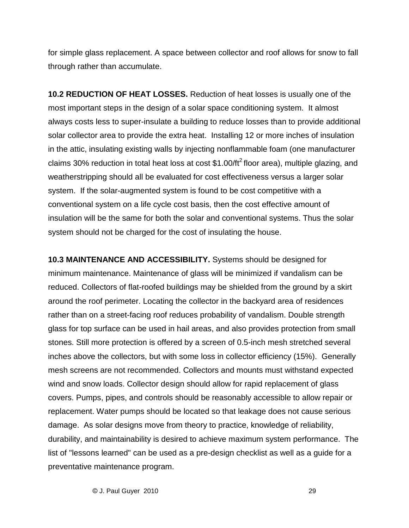for simple glass replacement. A space between collector and roof allows for snow to fall through rather than accumulate.

**10.2 REDUCTION OF HEAT LOSSES.** Reduction of heat losses is usually one of the most important steps in the design of a solar space conditioning system. It almost always costs less to super-insulate a building to reduce losses than to provide additional solar collector area to provide the extra heat. Installing 12 or more inches of insulation in the attic, insulating existing walls by injecting nonflammable foam (one manufacturer claims 30% reduction in total heat loss at cost \$1.00/ft<sup>2</sup> floor area), multiple glazing, and weatherstripping should all be evaluated for cost effectiveness versus a larger solar system. If the solar-augmented system is found to be cost competitive with a conventional system on a life cycle cost basis, then the cost effective amount of insulation will be the same for both the solar and conventional systems. Thus the solar system should not be charged for the cost of insulating the house.

**10.3 MAINTENANCE AND ACCESSIBILITY.** Systems should be designed for minimum maintenance. Maintenance of glass will be minimized if vandalism can be reduced. Collectors of flat-roofed buildings may be shielded from the ground by a skirt around the roof perimeter. Locating the collector in the backyard area of residences rather than on a street-facing roof reduces probability of vandalism. Double strength glass for top surface can be used in hail areas, and also provides protection from small stones. Still more protection is offered by a screen of 0.5-inch mesh stretched several inches above the collectors, but with some loss in collector efficiency (15%). Generally mesh screens are not recommended. Collectors and mounts must withstand expected wind and snow loads. Collector design should allow for rapid replacement of glass covers. Pumps, pipes, and controls should be reasonably accessible to allow repairor replacement. Water pumps should be located so that leakage does not cause serious damage. As solar designs move from theory to practice, knowledge of reliability, durability, and maintainability is desired to achieve maximum system performance. The list of "lessons learned" can be used as a pre-design checklist as well as a guide for a preventative maintenance program.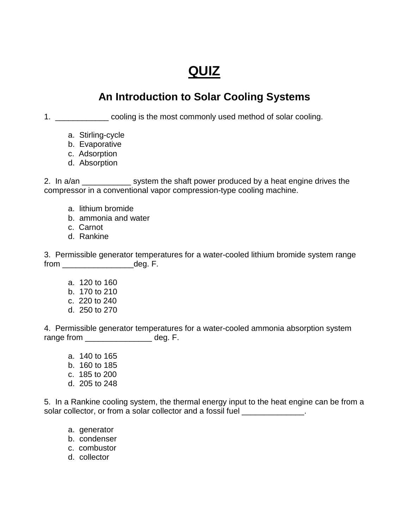# **QUIZ**

# **An Introduction to Solar Cooling Systems**

1. \_\_\_\_\_\_\_\_\_\_\_\_ cooling is the most commonly used method of solar cooling.

- a. Stirling-cycle
- b. Evaporative
- c. Adsorption
- d. Absorption

2. In a/an \_\_\_\_\_\_\_\_\_\_\_\_\_ system the shaft power produced by a heat engine drives the compressor in a conventional vapor compression-type cooling machine.

- a. lithium bromide
- b. ammonia and water
- c. Carnot
- d. Rankine

3. Permissible generator temperatures for a water-cooled lithium bromide system range from \_\_\_\_\_\_\_\_\_\_\_\_\_\_\_\_deg. F.

- a. 120 to 160
- b. 170 to 210
- c. 220 to 240
- d. 250 to 270

4. Permissible generator temperatures for a water-cooled ammonia absorption system range from \_\_\_\_\_\_\_\_\_\_\_\_\_\_\_\_\_\_\_ deg. F.

- a. 140 to 165 b. 160 to 185 c. 185 to 200
- d. 205 to 248

5. In a Rankine cooling system, the thermal energy input to the heat engine can be from a solar collector, or from a solar collector and a fossil fuel  $\qquad \qquad$ 

- a. generator
- b. condenser
- c. combustor
- d. collector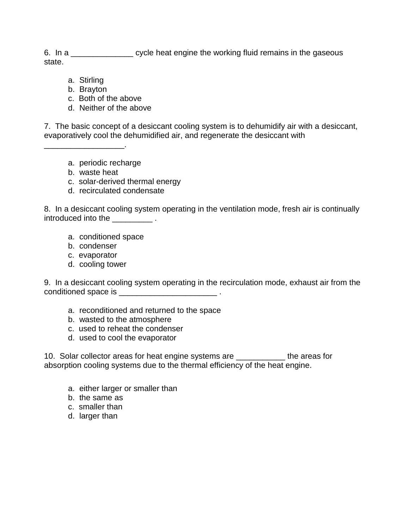6. In a \_\_\_\_\_\_\_\_\_\_\_\_\_\_ cycle heat engine the working fluid remains in the gaseous state.

- a. Stirling
- b. Brayton
- c. Both of the above
- d. Neither of the above

7. The basic concept of a desiccant cooling system is to dehumidify air with a desiccant, evaporatively cool the dehumidified air, and regenerate the desiccant with

- a. periodic recharge
- b. waste heat

\_\_\_\_\_\_\_\_\_\_\_\_\_\_\_\_\_\_.

- c. solar-derived thermal energy
- d. recirculated condensate

8. In a desiccant cooling system operating in the ventilation mode, fresh air is continually introduced into the \_\_\_\_\_\_\_\_\_ .

- a. conditioned space
- b. condenser
- c. evaporator
- d. cooling tower

9. In a desiccant cooling system operating in the recirculation mode, exhaust air from the conditioned space is \_\_\_\_\_\_\_\_\_\_\_\_\_\_\_\_\_\_\_\_\_\_ .

- a. reconditioned and returned to the space
- b. wasted to the atmosphere
- c. used to reheat the condenser
- d. used to cool the evaporator

10. Solar collector areas for heat engine systems are \_\_\_\_\_\_\_\_\_\_\_ the areas for absorption cooling systems due to the thermal efficiency of the heat engine.

- a. either larger or smaller than
- b. the same as
- c. smaller than
- d. larger than